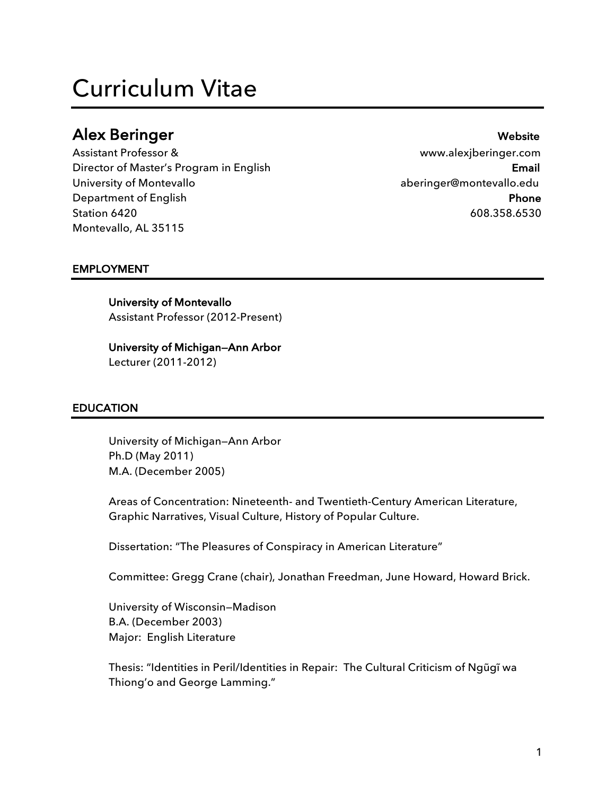# Curriculum Vitae

# Alex Beringer Website

Assistant Professor & www.alexjberinger.com Director of Master's Program in English **Email** Email University of Montevallo **aberinger@montevallo.edu** Department of English **Phone** Station 6420 608.358.6530 Montevallo, AL 35115

# EMPLOYMENT

### University of Montevallo

Assistant Professor (2012-Present)

# University of Michigan—Ann Arbor

Lecturer (2011-2012)

#### EDUCATION

 University of Michigan—Ann Arbor Ph.D (May 2011) M.A. (December 2005)

Areas of Concentration: Nineteenth- and Twentieth-Century American Literature, Graphic Narratives, Visual Culture, History of Popular Culture.

Dissertation: "The Pleasures of Conspiracy in American Literature"

Committee: Gregg Crane (chair), Jonathan Freedman, June Howard, Howard Brick.

University of Wisconsin—Madison B.A. (December 2003) Major: English Literature

Thesis: "Identities in Peril/Identities in Repair: The Cultural Criticism of Ngũgĩ wa Thiong'o and George Lamming."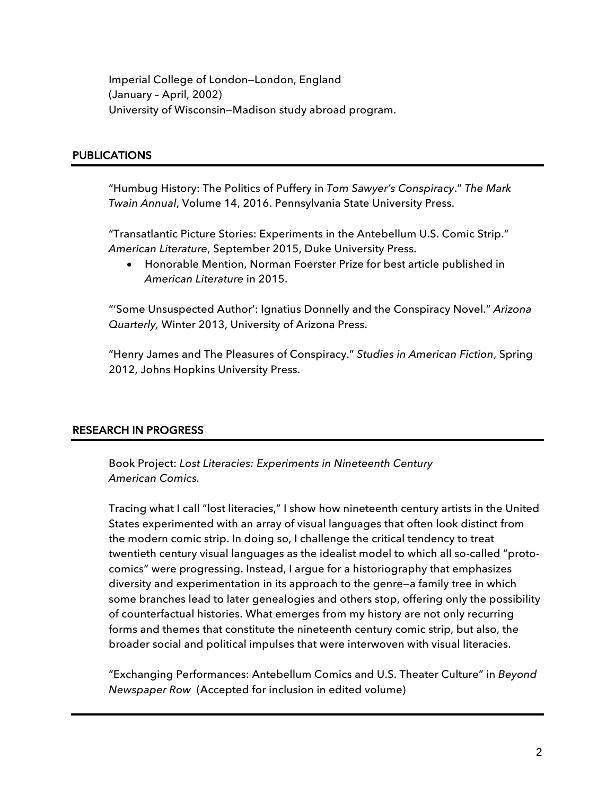Imperial College of London—London, England (January – April, 2002) University of Wisconsin—Madison study abroad program.

# **PUBLICATIONS**

"Humbug History: The Politics of Puffery in *Tom Sawyer's Conspiracy*." *The Mark Twain Annual*, Volume 14, 2016. Pennsylvania State University Press.

"Transatlantic Picture Stories: Experiments in the Antebellum U.S. Comic Strip." *American Literature*, September 2015, Duke University Press.

• Honorable Mention, Norman Foerster Prize for best article published in *American Literature* in 2015.

"'Some Unsuspected Author': Ignatius Donnelly and the Conspiracy Novel." *Arizona Quarterly,* Winter 2013, University of Arizona Press.

"Henry James and The Pleasures of Conspiracy." *Studies in American Fiction*, Spring 2012, Johns Hopkins University Press.

# RESEARCH IN PROGRESS

Book Project: *Lost Literacies: Experiments in Nineteenth Century American Comics.*

Tracing what I call "lost literacies," I show how nineteenth century artists in the United States experimented with an array of visual languages that often look distinct from the modern comic strip. In doing so, I challenge the critical tendency to treat twentieth century visual languages as the idealist model to which all so-called "protocomics" were progressing. Instead, I argue for a historiography that emphasizes diversity and experimentation in its approach to the genre—a family tree in which some branches lead to later genealogies and others stop, offering only the possibility of counterfactual histories. What emerges from my history are not only recurring forms and themes that constitute the nineteenth century comic strip, but also, the broader social and political impulses that were interwoven with visual literacies.

"Exchanging Performances: Antebellum Comics and U.S. Theater Culture" in *Beyond Newspaper Row* (Accepted for inclusion in edited volume)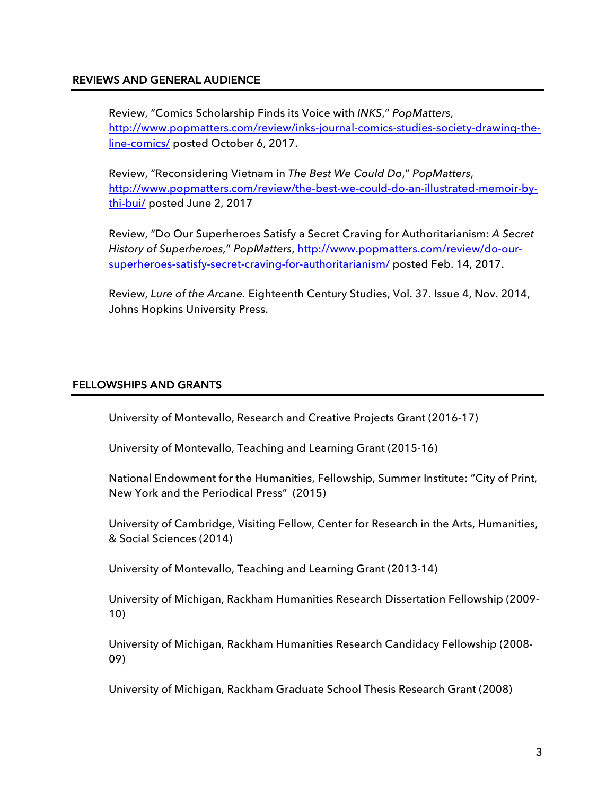#### REVIEWS AND GENERAL AUDIENCE

Review, "Comics Scholarship Finds its Voice with *INKS*," *PopMatters*, http://www.popmatters.com/review/inks-journal-comics-studies-society-drawing-theline-comics/ posted October 6, 2017.

Review, "Reconsidering Vietnam in *The Best We Could Do*," *PopMatters*, http://www.popmatters.com/review/the-best-we-could-do-an-illustrated-memoir-bythi-bui/ posted June 2, 2017

Review, "Do Our Superheroes Satisfy a Secret Craving for Authoritarianism: *A Secret History of Superheroes,*" *PopMatters*, http://www.popmatters.com/review/do-oursuperheroes-satisfy-secret-craving-for-authoritarianism/ posted Feb. 14, 2017.

Review, *Lure of the Arcane.* Eighteenth Century Studies, Vol. 37. Issue 4, Nov. 2014, Johns Hopkins University Press.

### FELLOWSHIPS AND GRANTS

University of Montevallo, Research and Creative Projects Grant (2016-17)

University of Montevallo, Teaching and Learning Grant (2015-16)

National Endowment for the Humanities, Fellowship, Summer Institute: "City of Print, New York and the Periodical Press" (2015)

University of Cambridge, Visiting Fellow, Center for Research in the Arts, Humanities, & Social Sciences (2014)

University of Montevallo, Teaching and Learning Grant (2013-14)

University of Michigan, Rackham Humanities Research Dissertation Fellowship (2009- 10)

University of Michigan, Rackham Humanities Research Candidacy Fellowship (2008- 09)

University of Michigan, Rackham Graduate School Thesis Research Grant (2008)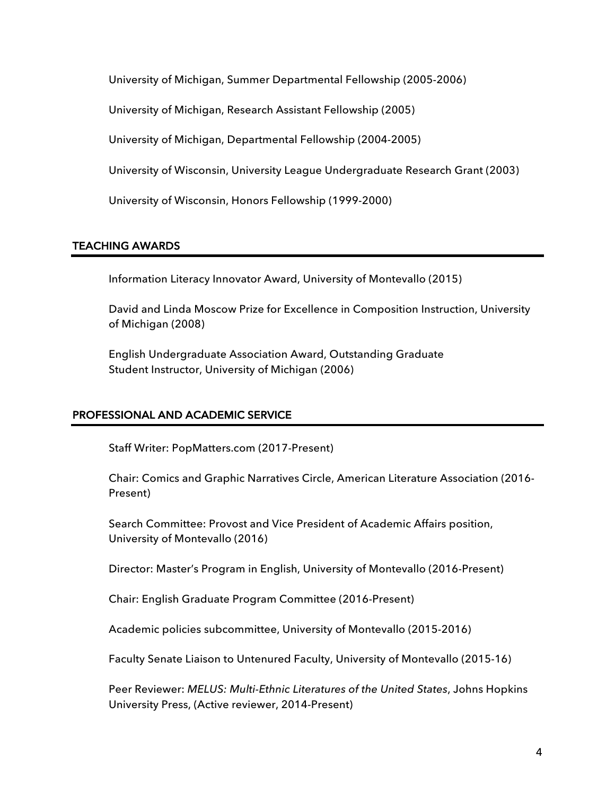University of Michigan, Summer Departmental Fellowship (2005-2006)

University of Michigan, Research Assistant Fellowship (2005)

University of Michigan, Departmental Fellowship (2004-2005)

University of Wisconsin, University League Undergraduate Research Grant (2003)

University of Wisconsin, Honors Fellowship (1999-2000)

### TEACHING AWARDS

Information Literacy Innovator Award, University of Montevallo (2015)

 David and Linda Moscow Prize for Excellence in Composition Instruction, University of Michigan (2008)

 English Undergraduate Association Award, Outstanding Graduate Student Instructor, University of Michigan (2006)

# PROFESSIONAL AND ACADEMIC SERVICE

Staff Writer: PopMatters.com (2017-Present)

Chair: Comics and Graphic Narratives Circle, American Literature Association (2016- Present)

Search Committee: Provost and Vice President of Academic Affairs position, University of Montevallo (2016)

Director: Master's Program in English, University of Montevallo (2016-Present)

Chair: English Graduate Program Committee (2016-Present)

Academic policies subcommittee, University of Montevallo (2015-2016)

Faculty Senate Liaison to Untenured Faculty, University of Montevallo (2015-16)

Peer Reviewer: *MELUS: Multi-Ethnic Literatures of the United States*, Johns Hopkins University Press, (Active reviewer, 2014-Present)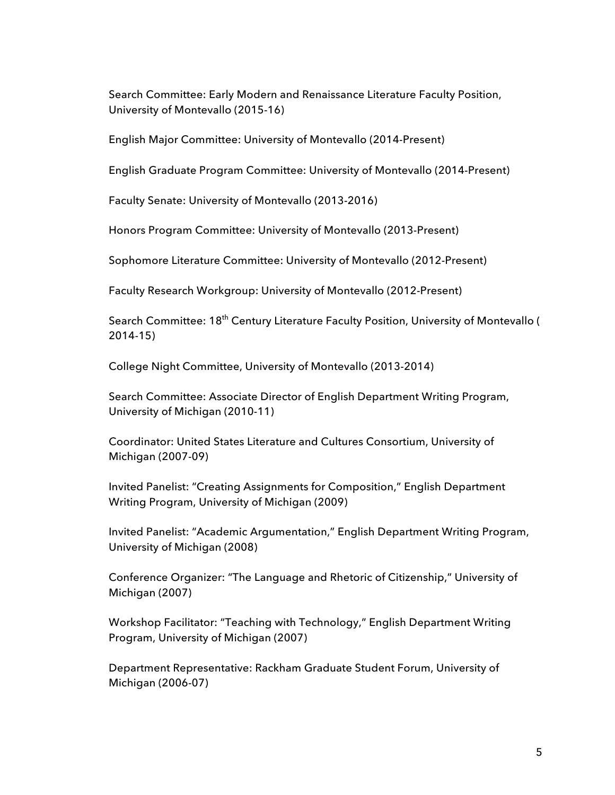Search Committee: Early Modern and Renaissance Literature Faculty Position, University of Montevallo (2015-16)

English Major Committee: University of Montevallo (2014-Present)

English Graduate Program Committee: University of Montevallo (2014-Present)

Faculty Senate: University of Montevallo (2013-2016)

Honors Program Committee: University of Montevallo (2013-Present)

Sophomore Literature Committee: University of Montevallo (2012-Present)

Faculty Research Workgroup: University of Montevallo (2012-Present)

Search Committee: 18<sup>th</sup> Century Literature Faculty Position, University of Montevallo ( 2014-15)

College Night Committee, University of Montevallo (2013-2014)

Search Committee: Associate Director of English Department Writing Program, University of Michigan (2010-11)

Coordinator: United States Literature and Cultures Consortium, University of Michigan (2007-09)

Invited Panelist: "Creating Assignments for Composition," English Department Writing Program, University of Michigan (2009)

Invited Panelist: "Academic Argumentation," English Department Writing Program, University of Michigan (2008)

Conference Organizer: "The Language and Rhetoric of Citizenship," University of Michigan (2007)

Workshop Facilitator: "Teaching with Technology," English Department Writing Program, University of Michigan (2007)

Department Representative: Rackham Graduate Student Forum, University of Michigan (2006-07)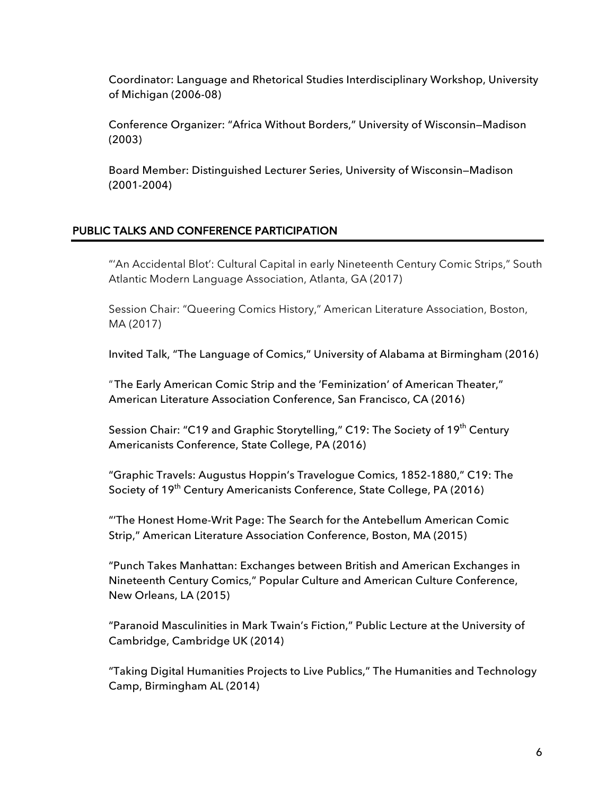Coordinator: Language and Rhetorical Studies Interdisciplinary Workshop, University of Michigan (2006-08)

Conference Organizer: "Africa Without Borders," University of Wisconsin—Madison (2003)

Board Member: Distinguished Lecturer Series, University of Wisconsin—Madison (2001-2004)

# PUBLIC TALKS AND CONFERENCE PARTICIPATION

"'An Accidental Blot': Cultural Capital in early Nineteenth Century Comic Strips," South Atlantic Modern Language Association, Atlanta, GA (2017)

Session Chair: "Queering Comics History," American Literature Association, Boston, MA (2017)

Invited Talk, "The Language of Comics," University of Alabama at Birmingham (2016)

"The Early American Comic Strip and the 'Feminization' of American Theater," American Literature Association Conference, San Francisco, CA (2016)

Session Chair: "C19 and Graphic Storytelling," C19: The Society of 19<sup>th</sup> Century Americanists Conference, State College, PA (2016)

"Graphic Travels: Augustus Hoppin's Travelogue Comics, 1852-1880," C19: The Society of 19<sup>th</sup> Century Americanists Conference, State College, PA (2016)

"'The Honest Home-Writ Page: The Search for the Antebellum American Comic Strip," American Literature Association Conference, Boston, MA (2015)

"Punch Takes Manhattan: Exchanges between British and American Exchanges in Nineteenth Century Comics," Popular Culture and American Culture Conference, New Orleans, LA (2015)

"Paranoid Masculinities in Mark Twain's Fiction," Public Lecture at the University of Cambridge, Cambridge UK (2014)

"Taking Digital Humanities Projects to Live Publics," The Humanities and Technology Camp, Birmingham AL (2014)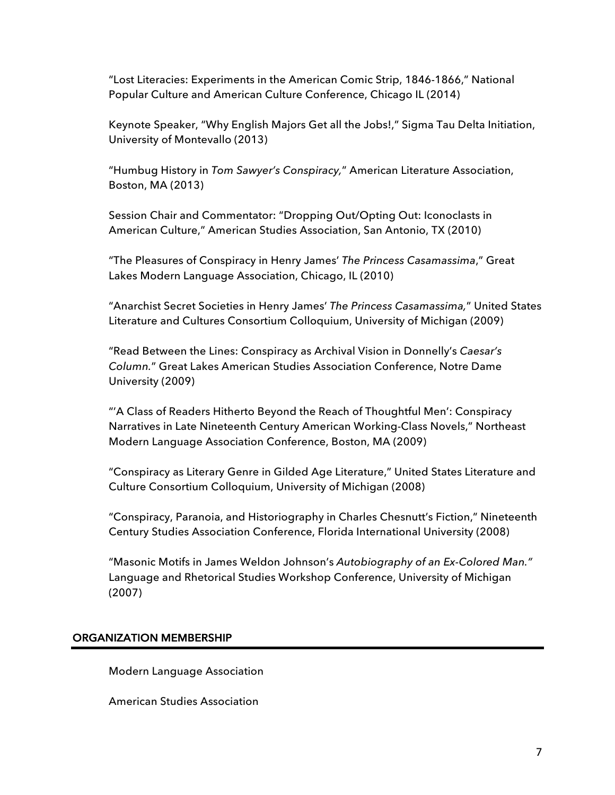"Lost Literacies: Experiments in the American Comic Strip, 1846-1866," National Popular Culture and American Culture Conference, Chicago IL (2014)

Keynote Speaker, "Why English Majors Get all the Jobs!," Sigma Tau Delta Initiation, University of Montevallo (2013)

"Humbug History in *Tom Sawyer's Conspiracy,*" American Literature Association, Boston, MA (2013)

Session Chair and Commentator: "Dropping Out/Opting Out: Iconoclasts in American Culture," American Studies Association, San Antonio, TX (2010)

"The Pleasures of Conspiracy in Henry James' *The Princess Casamassima*," Great Lakes Modern Language Association, Chicago, IL (2010)

"Anarchist Secret Societies in Henry James' *The Princess Casamassima,*" United States Literature and Cultures Consortium Colloquium, University of Michigan (2009)

"Read Between the Lines: Conspiracy as Archival Vision in Donnelly's *Caesar's Column.*" Great Lakes American Studies Association Conference, Notre Dame University (2009)

"'A Class of Readers Hitherto Beyond the Reach of Thoughtful Men': Conspiracy Narratives in Late Nineteenth Century American Working-Class Novels," Northeast Modern Language Association Conference, Boston, MA (2009)

"Conspiracy as Literary Genre in Gilded Age Literature," United States Literature and Culture Consortium Colloquium, University of Michigan (2008)

"Conspiracy, Paranoia, and Historiography in Charles Chesnutt's Fiction," Nineteenth Century Studies Association Conference, Florida International University (2008)

"Masonic Motifs in James Weldon Johnson's *Autobiography of an Ex-Colored Man."* Language and Rhetorical Studies Workshop Conference, University of Michigan (2007)

#### ORGANIZATION MEMBERSHIP

Modern Language Association

American Studies Association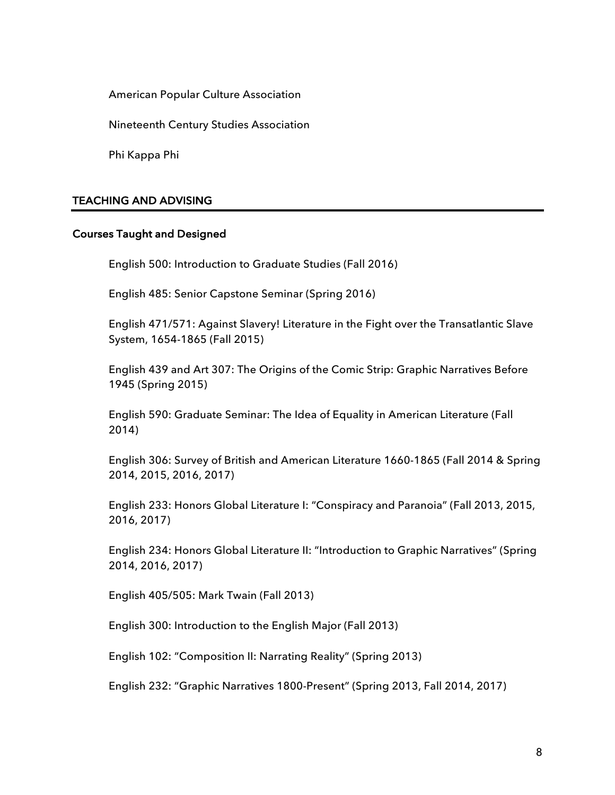American Popular Culture Association

Nineteenth Century Studies Association

Phi Kappa Phi

#### TEACHING AND ADVISING

#### Courses Taught and Designed

English 500: Introduction to Graduate Studies (Fall 2016)

English 485: Senior Capstone Seminar (Spring 2016)

English 471/571: Against Slavery! Literature in the Fight over the Transatlantic Slave System, 1654-1865 (Fall 2015)

English 439 and Art 307: The Origins of the Comic Strip: Graphic Narratives Before 1945 (Spring 2015)

English 590: Graduate Seminar: The Idea of Equality in American Literature (Fall 2014)

English 306: Survey of British and American Literature 1660-1865 (Fall 2014 & Spring 2014, 2015, 2016, 2017)

English 233: Honors Global Literature I: "Conspiracy and Paranoia" (Fall 2013, 2015, 2016, 2017)

English 234: Honors Global Literature II: "Introduction to Graphic Narratives" (Spring 2014, 2016, 2017)

English 405/505: Mark Twain (Fall 2013)

English 300: Introduction to the English Major (Fall 2013)

English 102: "Composition II: Narrating Reality" (Spring 2013)

English 232: "Graphic Narratives 1800-Present" (Spring 2013, Fall 2014, 2017)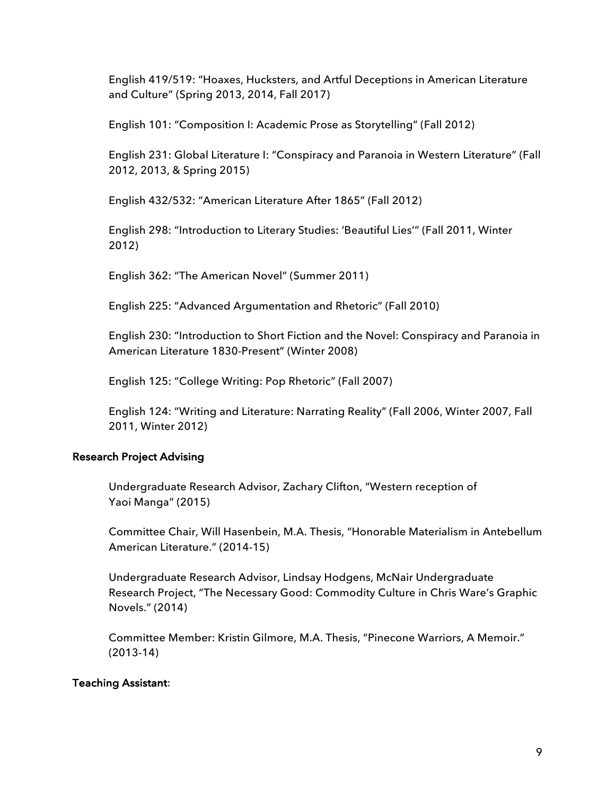English 419/519: "Hoaxes, Hucksters, and Artful Deceptions in American Literature and Culture" (Spring 2013, 2014, Fall 2017)

English 101: "Composition I: Academic Prose as Storytelling" (Fall 2012)

English 231: Global Literature I: "Conspiracy and Paranoia in Western Literature" (Fall 2012, 2013, & Spring 2015)

English 432/532: "American Literature After 1865" (Fall 2012)

English 298: "Introduction to Literary Studies: 'Beautiful Lies'" (Fall 2011, Winter 2012)

English 362: "The American Novel" (Summer 2011)

English 225: "Advanced Argumentation and Rhetoric" (Fall 2010)

English 230: "Introduction to Short Fiction and the Novel: Conspiracy and Paranoia in American Literature 1830-Present" (Winter 2008)

English 125: "College Writing: Pop Rhetoric" (Fall 2007)

English 124: "Writing and Literature: Narrating Reality" (Fall 2006, Winter 2007, Fall 2011, Winter 2012)

#### Research Project Advising

 Undergraduate Research Advisor, Zachary Clifton, "Western reception of Yaoi Manga" (2015)

Committee Chair, Will Hasenbein, M.A. Thesis, "Honorable Materialism in Antebellum American Literature." (2014-15)

Undergraduate Research Advisor, Lindsay Hodgens, McNair Undergraduate Research Project, "The Necessary Good: Commodity Culture in Chris Ware's Graphic Novels." (2014)

Committee Member: Kristin Gilmore, M.A. Thesis, "Pinecone Warriors, A Memoir." (2013-14)

#### Teaching Assistant: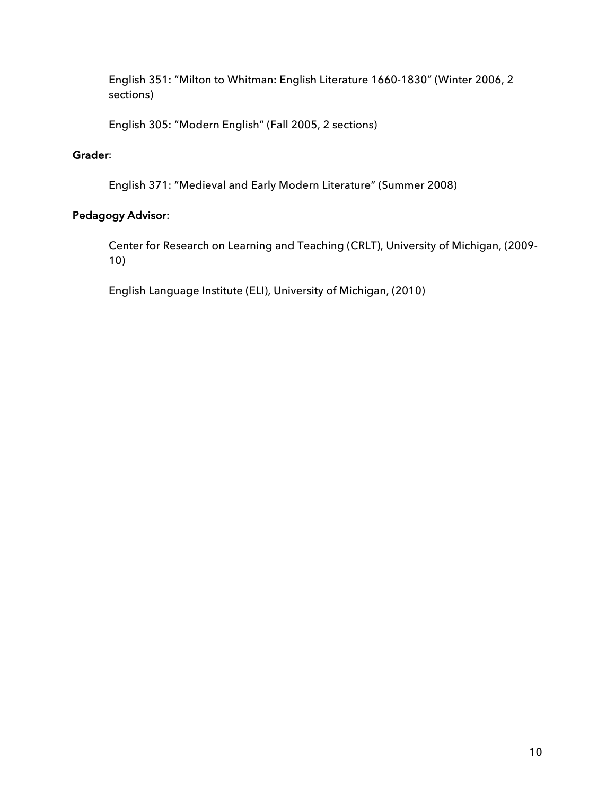English 351: "Milton to Whitman: English Literature 1660-1830" (Winter 2006, 2 sections)

English 305: "Modern English" (Fall 2005, 2 sections)

# Grader:

English 371: "Medieval and Early Modern Literature" (Summer 2008)

# Pedagogy Advisor:

Center for Research on Learning and Teaching (CRLT), University of Michigan, (2009- 10)

English Language Institute (ELI), University of Michigan, (2010)